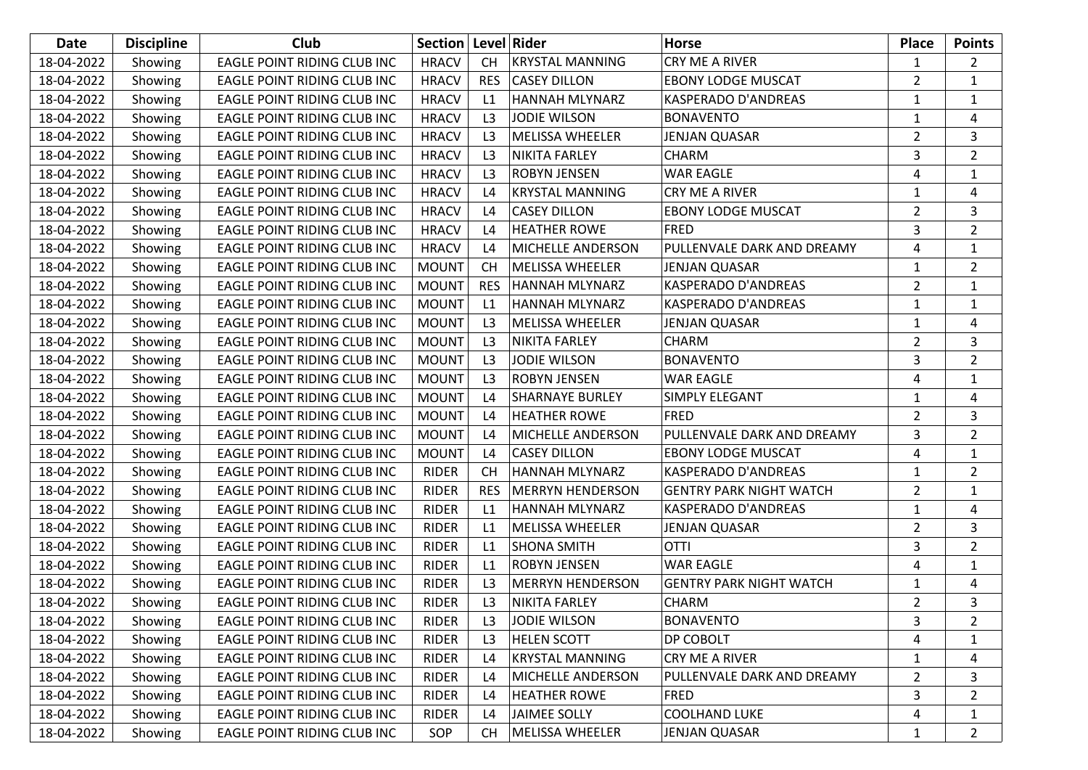| Date       | <b>Discipline</b> | Club                               | Section   Level   Rider |                |                         | <b>Horse</b>                   | <b>Place</b>   | <b>Points</b>  |
|------------|-------------------|------------------------------------|-------------------------|----------------|-------------------------|--------------------------------|----------------|----------------|
| 18-04-2022 | Showing           | <b>EAGLE POINT RIDING CLUB INC</b> | <b>HRACV</b>            | <b>CH</b>      | <b>KRYSTAL MANNING</b>  | CRY ME A RIVER                 | 1              | 2              |
| 18-04-2022 | Showing           | EAGLE POINT RIDING CLUB INC        | <b>HRACV</b>            | <b>RES</b>     | <b>CASEY DILLON</b>     | <b>EBONY LODGE MUSCAT</b>      | $\overline{2}$ | $\mathbf{1}$   |
| 18-04-2022 | Showing           | EAGLE POINT RIDING CLUB INC        | <b>HRACV</b>            | L1             | HANNAH MLYNARZ          | <b>KASPERADO D'ANDREAS</b>     | 1              | 1              |
| 18-04-2022 | Showing           | EAGLE POINT RIDING CLUB INC        | <b>HRACV</b>            | L3             | <b>JODIE WILSON</b>     | <b>BONAVENTO</b>               | 1              | 4              |
| 18-04-2022 | Showing           | EAGLE POINT RIDING CLUB INC        | <b>HRACV</b>            | L <sub>3</sub> | <b>MELISSA WHEELER</b>  | JENJAN QUASAR                  | $\overline{2}$ | 3              |
| 18-04-2022 | Showing           | EAGLE POINT RIDING CLUB INC        | <b>HRACV</b>            | L <sub>3</sub> | <b>NIKITA FARLEY</b>    | <b>CHARM</b>                   | 3              | $\overline{2}$ |
| 18-04-2022 | Showing           | EAGLE POINT RIDING CLUB INC        | <b>HRACV</b>            | L <sub>3</sub> | <b>ROBYN JENSEN</b>     | <b>WAR EAGLE</b>               | 4              | $\mathbf{1}$   |
| 18-04-2022 | Showing           | EAGLE POINT RIDING CLUB INC        | <b>HRACV</b>            | L4             | <b>KRYSTAL MANNING</b>  | CRY ME A RIVER                 | 1              | 4              |
| 18-04-2022 | Showing           | EAGLE POINT RIDING CLUB INC        | <b>HRACV</b>            | L4             | <b>CASEY DILLON</b>     | <b>EBONY LODGE MUSCAT</b>      | $\overline{2}$ | 3              |
| 18-04-2022 | Showing           | EAGLE POINT RIDING CLUB INC        | <b>HRACV</b>            | L4             | <b>HEATHER ROWE</b>     | <b>FRED</b>                    | 3              | $\overline{2}$ |
| 18-04-2022 | Showing           | EAGLE POINT RIDING CLUB INC        | <b>HRACV</b>            | L4             | MICHELLE ANDERSON       | PULLENVALE DARK AND DREAMY     | 4              | 1              |
| 18-04-2022 | Showing           | EAGLE POINT RIDING CLUB INC        | <b>MOUNT</b>            | <b>CH</b>      | <b>MELISSA WHEELER</b>  | JENJAN QUASAR                  | $\mathbf{1}$   | $\overline{2}$ |
| 18-04-2022 | Showing           | EAGLE POINT RIDING CLUB INC        | <b>MOUNT</b>            | <b>RES</b>     | HANNAH MLYNARZ          | <b>KASPERADO D'ANDREAS</b>     | $\overline{2}$ | $\mathbf{1}$   |
| 18-04-2022 | Showing           | EAGLE POINT RIDING CLUB INC        | <b>MOUNT</b>            | L1             | <b>HANNAH MLYNARZ</b>   | <b>KASPERADO D'ANDREAS</b>     | 1              | 1              |
| 18-04-2022 | Showing           | <b>EAGLE POINT RIDING CLUB INC</b> | <b>MOUNT</b>            | L <sub>3</sub> | <b>MELISSA WHEELER</b>  | JENJAN QUASAR                  | $\mathbf{1}$   | 4              |
| 18-04-2022 | Showing           | EAGLE POINT RIDING CLUB INC        | <b>MOUNT</b>            | L <sub>3</sub> | <b>NIKITA FARLEY</b>    | <b>CHARM</b>                   | $\overline{2}$ | 3              |
| 18-04-2022 | Showing           | EAGLE POINT RIDING CLUB INC        | <b>MOUNT</b>            | L <sub>3</sub> | <b>JODIE WILSON</b>     | <b>BONAVENTO</b>               | 3              | $\overline{2}$ |
| 18-04-2022 | Showing           | EAGLE POINT RIDING CLUB INC        | <b>MOUNT</b>            | L <sub>3</sub> | <b>ROBYN JENSEN</b>     | <b>WAR EAGLE</b>               | 4              | 1              |
| 18-04-2022 | Showing           | EAGLE POINT RIDING CLUB INC        | <b>MOUNT</b>            | L4             | <b>SHARNAYE BURLEY</b>  | SIMPLY ELEGANT                 | 1              | 4              |
| 18-04-2022 | Showing           | EAGLE POINT RIDING CLUB INC        | <b>MOUNT</b>            | L4             | <b>HEATHER ROWE</b>     | <b>FRED</b>                    | $\overline{2}$ | 3              |
| 18-04-2022 | Showing           | EAGLE POINT RIDING CLUB INC        | <b>MOUNT</b>            | L4             | MICHELLE ANDERSON       | PULLENVALE DARK AND DREAMY     | 3              | $\overline{2}$ |
| 18-04-2022 | Showing           | EAGLE POINT RIDING CLUB INC        | <b>MOUNT</b>            | L4             | <b>CASEY DILLON</b>     | <b>EBONY LODGE MUSCAT</b>      | 4              | $\mathbf{1}$   |
| 18-04-2022 | Showing           | EAGLE POINT RIDING CLUB INC        | <b>RIDER</b>            | <b>CH</b>      | HANNAH MLYNARZ          | <b>KASPERADO D'ANDREAS</b>     | 1              | $\overline{2}$ |
| 18-04-2022 | Showing           | EAGLE POINT RIDING CLUB INC        | <b>RIDER</b>            | <b>RES</b>     | <b>MERRYN HENDERSON</b> | <b>GENTRY PARK NIGHT WATCH</b> | $\overline{2}$ | $\mathbf{1}$   |
| 18-04-2022 | Showing           | EAGLE POINT RIDING CLUB INC        | <b>RIDER</b>            | L1             | HANNAH MLYNARZ          | <b>KASPERADO D'ANDREAS</b>     | $\mathbf{1}$   | 4              |
| 18-04-2022 | Showing           | EAGLE POINT RIDING CLUB INC        | <b>RIDER</b>            | L1             | <b>MELISSA WHEELER</b>  | <b>JENJAN QUASAR</b>           | $\overline{2}$ | 3              |
| 18-04-2022 | Showing           | EAGLE POINT RIDING CLUB INC        | <b>RIDER</b>            | L1             | <b>SHONA SMITH</b>      | <b>OTTI</b>                    | 3              | $\overline{2}$ |
| 18-04-2022 | Showing           | EAGLE POINT RIDING CLUB INC        | <b>RIDER</b>            | L1             | <b>ROBYN JENSEN</b>     | <b>WAR EAGLE</b>               | 4              | 1              |
| 18-04-2022 | Showing           | EAGLE POINT RIDING CLUB INC        | <b>RIDER</b>            | L <sub>3</sub> | <b>MERRYN HENDERSON</b> | <b>GENTRY PARK NIGHT WATCH</b> | 1              | 4              |
| 18-04-2022 | Showing           | EAGLE POINT RIDING CLUB INC        | <b>RIDER</b>            | L <sub>3</sub> | <b>NIKITA FARLEY</b>    | <b>CHARM</b>                   | $\overline{2}$ | 3              |
| 18-04-2022 | Showing           | EAGLE POINT RIDING CLUB INC        | RIDER                   | L <sub>3</sub> | <b>JODIE WILSON</b>     | <b>BONAVENTO</b>               | 3              | 2              |
| 18-04-2022 | Showing           | EAGLE POINT RIDING CLUB INC        | <b>RIDER</b>            | L <sub>3</sub> | <b>HELEN SCOTT</b>      | DP COBOLT                      | 4              | 1              |
| 18-04-2022 | Showing           | EAGLE POINT RIDING CLUB INC        | <b>RIDER</b>            | L4             | <b>KRYSTAL MANNING</b>  | <b>CRY ME A RIVER</b>          | 1              | 4              |
| 18-04-2022 | Showing           | EAGLE POINT RIDING CLUB INC        | <b>RIDER</b>            | L4             | MICHELLE ANDERSON       | PULLENVALE DARK AND DREAMY     | 2              | 3              |
| 18-04-2022 | Showing           | EAGLE POINT RIDING CLUB INC        | <b>RIDER</b>            | L4             | <b>HEATHER ROWE</b>     | <b>FRED</b>                    | 3              | $\overline{2}$ |
| 18-04-2022 | Showing           | EAGLE POINT RIDING CLUB INC        | <b>RIDER</b>            | L4             | JAIMEE SOLLY            | <b>COOLHAND LUKE</b>           | 4              | 1              |
| 18-04-2022 | Showing           | EAGLE POINT RIDING CLUB INC        | SOP                     | <b>CH</b>      | MELISSA WHEELER         | <b>JENJAN QUASAR</b>           | $\mathbf{1}$   | $\overline{2}$ |